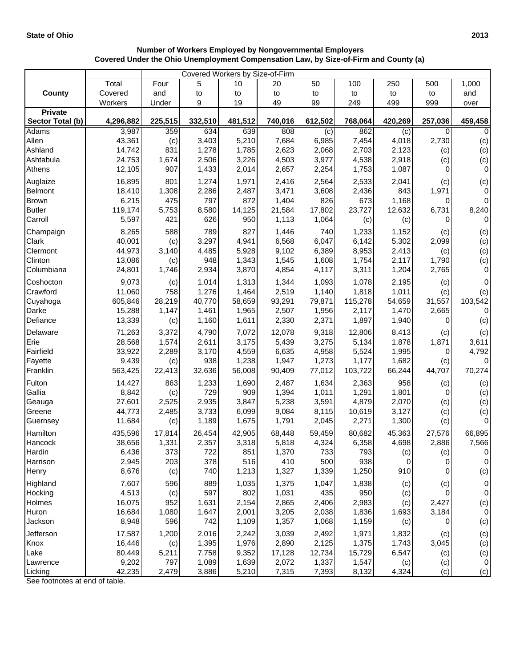|                                    | Covered Workers by Size-of-Firm |         |                |         |         |              |                |              |         |                  |  |
|------------------------------------|---------------------------------|---------|----------------|---------|---------|--------------|----------------|--------------|---------|------------------|--|
|                                    | Total                           | Four    | 5              | 10      | 20      | 50           | 100            | 250          | 500     | 1,000            |  |
| <b>County</b>                      | Covered                         | and     | to             | to      | to      | to           | to             | to           | to      | and              |  |
|                                    | Workers                         | Under   | 9              | 19      | 49      | 99           | 249            | 499          | 999     | over             |  |
| <b>Private</b><br>Sector Total (b) | 4,296,882                       | 225,515 |                | 481,512 | 740,016 |              |                | 420,269      | 257,036 | 459,458          |  |
| <b>Adams</b>                       | 3,987                           | 359     | 332,510<br>634 | 639     | 808     | 612,502      | 768,064<br>862 |              | 0       | 0                |  |
| Allen                              | 43,361                          | (c)     | 3,403          | 5,210   | 7,684   | (c)<br>6,985 | 7,454          | (c)<br>4,018 | 2,730   | (c)              |  |
| Ashland                            | 14,742                          | 831     | 1,278          | 1,785   | 2,623   | 2,068        | 2,703          | 2,123        | (c)     | (c)              |  |
| Ashtabula                          | 24,753                          | 1,674   | 2,506          | 3,226   | 4,503   | 3,977        | 4,538          | 2,918        | (c)     | (c)              |  |
| Athens                             | 12,105                          | 907     | 1,433          | 2,014   | 2,657   | 2,254        | 1,753          | 1,087        | 0       | $\mathbf 0$      |  |
| Auglaize                           | 16,895                          | 801     | 1,274          | 1,971   | 2,416   | 2,564        | 2,533          | 2,041        | (c)     | (c)              |  |
| <b>Belmont</b>                     | 18,410                          | 1,308   | 2,286          | 2,487   | 3,471   | 3,608        | 2,436          | 843          | 1,971   | $\mathbf 0$      |  |
| <b>Brown</b>                       | 6,215                           | 475     | 797            | 872     | 1,404   | 826          | 673            | 1,168        | 0       | $\mathbf 0$      |  |
| <b>Butler</b>                      | 119,174                         | 5,753   | 8,580          | 14,125  | 21,584  | 17,802       | 23,727         | 12,632       | 6,731   | 8,240            |  |
| Carroll                            | 5,597                           | 421     | 626            | 950     | 1,113   | 1,064        | (c)            | (c)          | 0       | $\pmb{0}$        |  |
| Champaign                          | 8,265                           | 588     | 789            | 827     | 1,446   | 740          | 1,233          | 1,152        | (c)     | (c)              |  |
| Clark                              | 40,001                          | (c)     | 3,297          | 4,941   | 6,568   | 6,047        | 6,142          | 5,302        | 2,099   | (c)              |  |
| Clermont                           | 44,973                          | 3,140   | 4,485          | 5,928   | 9,102   | 6,389        | 8,953          | 2,413        | (c)     | (c)              |  |
| Clinton                            | 13,086                          | (c)     | 948            | 1,343   | 1,545   | 1,608        | 1,754          | 2,117        | 1,790   | (c)              |  |
| Columbiana                         | 24,801                          | 1,746   | 2,934          | 3,870   | 4,854   | 4,117        | 3,311          | 1,204        | 2,765   | $\mathbf 0$      |  |
| Coshocton                          | 9,073                           | (c)     | 1,014          | 1,313   | 1,344   | 1,093        | 1,078          | 2,195        | (c)     | $\mathbf 0$      |  |
| Crawford                           | 11,060                          | 758     | 1,276          | 1,464   | 2,519   | 1,140        | 1,818          | 1,011        | (c)     | (c)              |  |
| Cuyahoga                           | 605,846                         | 28,219  | 40,770         | 58,659  | 93,291  | 79,871       | 115,278        | 54,659       | 31,557  | 103,542          |  |
| Darke                              | 15,288                          | 1,147   | 1,461          | 1,965   | 2,507   | 1,956        | 2,117          | 1,470        | 2,665   | $\mathbf 0$      |  |
| Defiance                           | 13,339                          | (c)     | 1,160          | 1,611   | 2,330   | 2,371        | 1,897          | 1,940        | 0       | (c)              |  |
| Delaware                           | 71,263                          | 3,372   | 4,790          | 7,072   | 12,078  | 9,318        | 12,806         | 8,413        | (c)     | (c)              |  |
| Erie                               | 28,568                          | 1,574   | 2,611          | 3,175   | 5,439   | 3,275        | 5,134          | 1,878        | 1,871   | 3,611            |  |
| Fairfield                          | 33,922                          | 2,289   | 3,170          | 4,559   | 6,635   | 4,958        | 5,524          | 1,995        | 0       | 4,792            |  |
| Fayette                            | 9,439                           | (c)     | 938            | 1,238   | 1,947   | 1,273        | 1,177          | 1,682        | (c)     | 0                |  |
| Franklin                           | 563,425                         | 22,413  | 32,636         | 56,008  | 90,409  | 77,012       | 103,722        | 66,244       | 44,707  | 70,274           |  |
| Fulton                             | 14,427                          | 863     | 1,233          | 1,690   | 2,487   | 1,634        | 2,363          | 958          | (c)     | (c)              |  |
| Gallia                             | 8,842                           | (c)     | 729            | 909     | 1,394   | 1,011        | 1,291          | 1,801        | 0       | (c)              |  |
| Geauga                             | 27,601                          | 2,525   | 2,935          | 3,847   | 5,238   | 3,591        | 4,879          | 2,070        | (c)     | (c)              |  |
| Greene                             | 44,773                          | 2,485   | 3,733          | 6,099   | 9,084   | 8,115        | 10,619         | 3,127        | (c)     | (c)              |  |
| Guernsey                           | 11,684                          | (c)     | 1,189          | 1,675   | 1,791   | 2,045        | 2,271          | 1,300        | (c)     | $\mathbf 0$      |  |
| Hamilton                           | 435,596                         | 17,814  | 26,454         | 42,905  | 68,448  | 59,459       | 80,682         | 45,363       | 27,576  | 66,895           |  |
| Hancock                            | 38,656                          | 1,331   | 2,357          | 3,318   | 5,818   | 4,324        | 6,358          | 4,698        | 2,886   | 7,566            |  |
| Hardin                             | 6,436                           | 373     | 722            | 851     | 1,370   | 733          | 793            | (c)          | (c)     | 0                |  |
| Harrison                           | 2,945                           | 203     | 378            | 516     | 410     | 500          | 938            | 0            | 0       | $\boldsymbol{0}$ |  |
| Henry                              | 8,676                           | (c)     | 740            | 1,213   | 1,327   | 1,339        | 1,250          | 910          | 0       | (c)              |  |
| Highland                           | 7,607                           | 596     | 889            | 1,035   | 1,375   | 1,047        | 1,838          | (c)          | (c)     | $\mathbf 0$      |  |
| Hocking                            | 4,513                           | (c)     | 597            | 802     | 1,031   | 435          | 950            | (c)          | 0       | 0                |  |
| Holmes                             | 16,075                          | 952     | 1,631          | 2,154   | 2,865   | 2,406        | 2,983          | (c)          | 2,427   | (c)              |  |
| Huron                              | 16,684                          | 1,080   | 1,647          | 2,001   | 3,205   | 2,038        | 1,836          | 1,693        | 3,184   | 0                |  |
| Jackson                            | 8,948                           | 596     | 742            | 1,109   | 1,357   | 1,068        | 1,159          | (c)          | 0       | (c)              |  |
| Jefferson                          | 17,587                          | 1,200   | 2,016          | 2,242   | 3,039   | 2,492        | 1,971          | 1,832        | (c)     | (c)              |  |
| Knox                               | 16,446                          | (c)     | 1,395          | 1,976   | 2,890   | 2,125        | 1,375          | 1,743        | 3,045   | (c)              |  |
| Lake                               | 80,449                          | 5,211   | 7,758          | 9,352   | 17,128  | 12,734       | 15,729         | 6,547        | (c)     | (c)              |  |
| Lawrence                           | 9,202                           | 797     | 1,089          | 1,639   | 2,072   | 1,337        | 1,547          | (c)          | (c)     | $\pmb{0}$        |  |
| Licking                            | 42,235                          | 2,479   | 3,886          | 5,210   | 7,315   | 7,393        | 8,132          | 4,324        | (c)     | (c)              |  |

## **Number of Workers Employed by Nongovernmental Employers Covered Under the Ohio Unemployment Compensation Law, by Size-of-Firm and County (a)**

See footnotes at end of table.